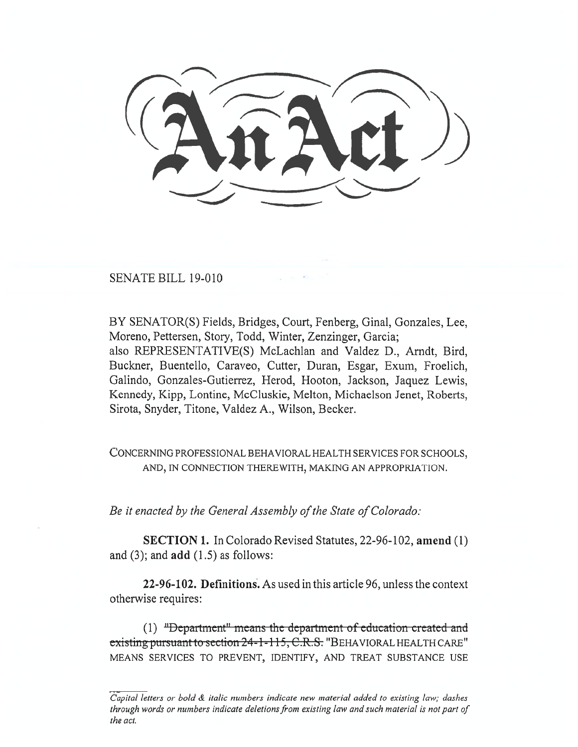SENATE BILL 19-010

BY SENATOR(S) Fields, Bridges, Court, Fenberg, Ginal, Gonzales, Lee, Moreno, Pettersen, Story, Todd, Winter, Zenzinger, Garcia; also REPRESENTATIVE(S) McLachlan and Valdez D., Arndt, Bird, Buckner, Buentello, Caraveo, Cutter, Duran, Esgar, Exum, Froelich, Galindo, Gonzales-Gutierrez, Herod, Hooton, Jackson, Jaquez Lewis, Kennedy, Kipp, Lontine, McCluskie, Melton, Michaelson Jenet, Roberts, Sirota, Snyder, Titone, Valdez A., Wilson, Becker.

CONCERNING PROFESSIONAL BEHAVIORAL HEALTH SERVICES FOR SCHOOLS, AND, IN CONNECTION THEREWITH, MAKING AN APPROPRIATION.

Be it enacted by the General Assembly of the State of Colorado:

**SECTION 1.** In Colorado Revised Statutes, 22-96-102, amend (1) and  $(3)$ ; and  $add(1.5)$  as follows:

22-96-102. Definitions. As used in this article 96, unless the context otherwise requires:

(1) "Department" means the department of education created and existing pursuant to section 24-1-115, C.R.S. "BEHAVIORAL HEALTH CARE" MEANS SERVICES TO PREVENT, IDENTIFY, AND TREAT SUBSTANCE USE

Capital letters or bold & italic numbers indicate new material added to existing law; dashes through words or numbers indicate deletions from existing law and such material is not part of the act.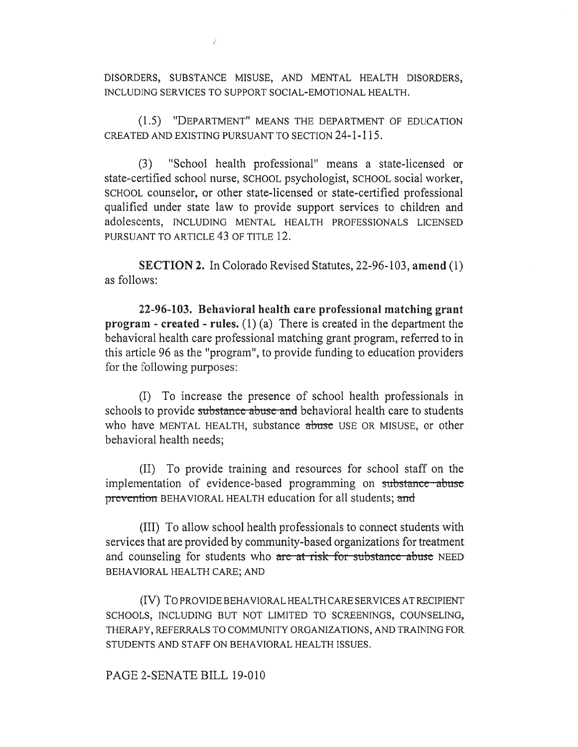DISORDERS, SUBSTANCE MISUSE, AND MENTAL HEALTH DISORDERS, INCLUDING SERVICES TO SUPPORT SOCIAL-EMOTIONAL HEALTH.

(1.5) "DEPARTMENT" MEANS THE DEPARTMENT OF EDUCATION CREATED AND EXISTING PURSUANT TO SECTION 24-1-115.

(3) "School health professional" means a state-licensed or state-certified school nurse, SCHOOL psychologist, SCHOOL social worker, SCHOOL counselor, or other state-licensed or state-certified professional qualified under state law to provide support services to children and adolescents, INCLUDING MENTAL HEALTH PROFESSIONALS LICENSED PURSUANT TO ARTICLE 43 OF TITLE 12.

**SECTION 2.** In Colorado Revised Statutes, 22-96-103, **amend** (1) as follows:

**22-96-103. Behavioral health care professional matching grant program - created - rules.** (1) (a) There is created in the department the behavioral health care professional matching grant program, referred to in this article 96 as the "program", to provide funding to education providers for the following purposes:

(I) To increase the presence of school health professionals in schools to provide substance abuse and behavioral health care to students who have MENTAL HEALTH, substance abuse USE OR MISUSE, or other behavioral health needs;

(II) To provide training and resources for school staff on the implementation of evidence-based programming on substance abuse prevention BEHAVIORAL HEALTH education for all students; and

(III) To allow school health professionals to connect students with services that are provided by community-based organizations for treatment and counseling for students who are at risk for substance abuse NEED BEHAVIORAL HEALTH CARE; AND

(IV) To PROVIDE BEHAVIORAL HEALTH CARE SERVICES AT RECIPIENT SCHOOLS, INCLUDING BUT NOT LIMITED TO SCREENINGS, COUNSELING, THERAPY, REFERRALS TO COMMUNITY ORGANIZATIONS, AND TRAINING FOR STUDENTS AND STAFF ON BEHAVIORAL HEALTH ISSUES.

## PAGE 2-SENATE BILL 19-010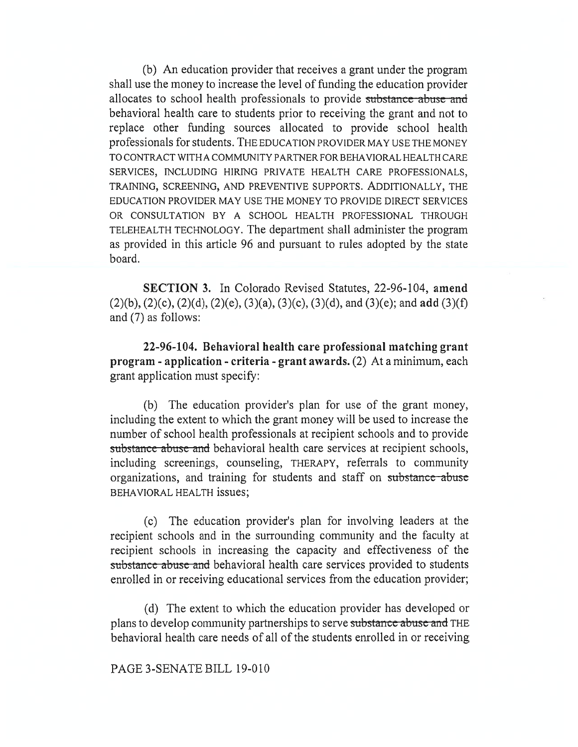(b) An education provider that receives a grant under the program shall use the money to increase the level of funding the education provider allocates to school health professionals to provide substance abuse and behavioral health care to students prior to receiving the grant and not to replace other funding sources allocated to provide school health professionals for students. THE EDUCATION PROVIDER MAY USE THE MONEY TO CONTRACT WITH A COMMUNITY PARTNER FOR BEHAVIORAL HEALTH CARE SERVICES, INCLUDING HIRING PRIVATE HEALTH CARE PROFESSIONALS, TRAINING, SCREENING, AND PREVENTIVE SUPPORTS. ADDITIONALLY, THE EDUCATION PROVIDER MAY USE THE MONEY TO PROVIDE DIRECT SERVICES OR CONSULTATION BY A SCHOOL HEALTH PROFESSIONAL THROUGH TELEHEALTH TECHNOLOGY. The department shall administer the program as provided in this article 96 and pursuant to rules adopted by the state board.

**SECTION 3.** In Colorado Revised Statutes, 22-96-104, **amend**  (2)(b), (2)(c), (2)(d), (2)(e), (3)(a), (3)(c), (3)(d), and (3)(e); and **add** (3)(f) and (7) as follows:

**22-96-104. Behavioral health care professional matching grant program - application - criteria - grant awards.** (2) At a minimum, each grant application must specify:

(b) The education provider's plan for use of the grant money, including the extent to which the grant money will be used to increase the number of school health professionals at recipient schools and to provide substance abuse and behavioral health care services at recipient schools, including screenings, counseling, THERAPY, referrals to community organizations, and training for students and staff on substance abuse BEHAVIORAL HEALTH issues;

(c) The education provider's plan for involving leaders at the recipient schools and in the surrounding community and the faculty at recipient schools in increasing the capacity and effectiveness of the substance abuse and behavioral health care services provided to students enrolled in or receiving educational services from the education provider;

(d) The extent to which the education provider has developed or plans to develop community partnerships to serve substance abuse and THE behavioral health care needs of all of the students enrolled in or receiving

PAGE 3-SENATE BILL 19-010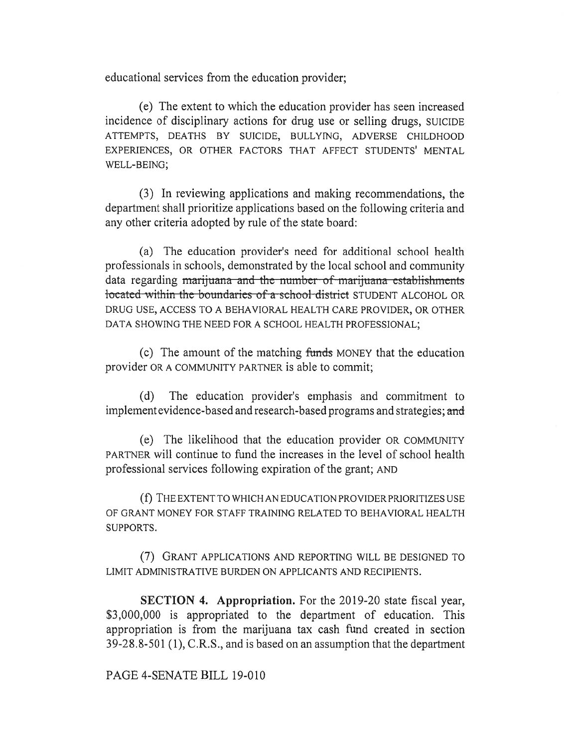educational services from the education provider;

(e) The extent to which the education provider has seen increased incidence of disciplinary actions for drug use or selling drugs, SUICIDE ATTEMPTS, DEATHS BY SUICIDE, BULLYING, ADVERSE CHILDHOOD EXPERIENCES, OR OTHER FACTORS THAT AFFECT STUDENTS' MENTAL WELL-BEING;

(3) In reviewing applications and making recommendations, the department shall prioritize applications based on the following criteria and any other criteria adopted by rule of the state board:

(a) The education provider's need for additional school health professionals in schools, demonstrated by the local school and community data regarding marijuana and the number of marijuana establishments located within the boundaries of a school district STUDENT ALCOHOL OR DRUG USE, ACCESS TO A BEHAVIORAL HEALTH CARE PROVIDER, OR OTHER DATA SHOWING THE NEED FOR A SCHOOL HEALTH PROFESSIONAL;

(c) The amount of the matching funds MONEY that the education provider OR A COMMUNITY PARTNER is able to commit;

(d) The education provider's emphasis and commitment to implement evidence-based and research-based programs and strategies; and

(e) The likelihood that the education provider OR COMMUNITY PARTNER will continue to fund the increases in the level of school health professional services following expiration of the grant; AND

(f) THE EXTENT TO WHICH AN EDUCATION PROVIDER PRIORITIZES USE OF GRANT MONEY FOR STAFF TRAINING RELATED TO BEHAVIORAL HEALTH SUPPORTS.

(7) GRANT APPLICATIONS AND REPORTING WILL BE DESIGNED TO LIMIT ADMINISTRATIVE BURDEN ON APPLICANTS AND RECIPIENTS.

**SECTION 4. Appropriation.** For the 2019-20 state fiscal year, \$3,000,000 is appropriated to the department of education. This appropriation is from the marijuana tax cash fund created in section 39-28.8-501 (1), C.R.S., and is based on an assumption that the department

PAGE 4-SENATE BILL 19-010